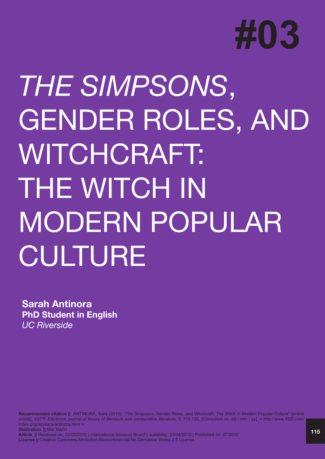

# *THE SIMPSONS*, GENDER ROLES, AND WITCHCRAFT: THE WITCH IN MODERN POPULAR CULTURE

**Sarah Antinora PhD Student in English** *UC Riverside*

**Recommended citation ||** ANTINORA, Sara (2010): "*The Simpsons*, Gender Roles, and Witchcraft: The Witch in Modern Popular Culture" [online article], *452ºF. Electronic journal of theory of literature and comparative literature*, 3, 115-130, [Consulted on: dd / mm / yy], < http://www.452f.com/ index.php/en/sara-antinora.html >. **Illustration ||** Mar Marín

**Article ||** Received on: 13/03/2010 | International Advisory Board's suitability: 23/04/2010 | Published on: 07/2010 **License ||** Creative Commons Attribution-Noncommercial-No Derivative Works 2.5 License.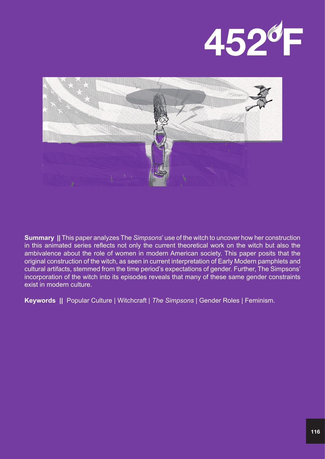



**Summary ||** This paper analyzes The *Simpsons*' use of the witch to uncover how her construction in this animated series reflects not only the current theoretical work on the witch but also the ambivalence about the role of women in modern American society. This paper posits that the original construction of the witch, as seen in current interpretation of Early Modern pamphlets and cultural artifacts, stemmed from the time period's expectations of gender. Further, The Simpsons' incorporation of the witch into its episodes reveals that many of these same gender constraints exist in modern culture.

**Keywords ||** Popular Culture | Witchcraft | *The Simpsons* | Gender Roles | Feminism.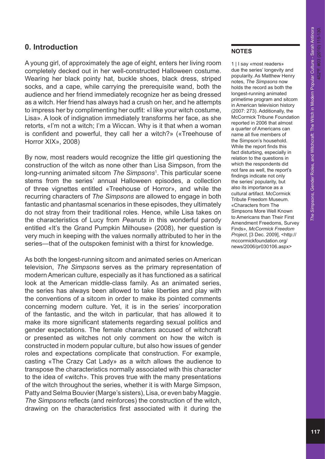# **0. Introduction**

A young girl, of approximately the age of eight, enters her living room completely decked out in her well-constructed Halloween costume. Wearing her black pointy hat, buckle shoes, black dress, striped socks, and a cape, while carrying the prerequisite wand, both the audience and her friend immediately recognize her as being dressed as a witch. Her friend has always had a crush on her, and he attempts to impress her by complimenting her outfit: «I like your witch costume, Lisa». A look of indignation immediately transforms her face, as she retorts, «I'm not a witch; I'm a Wiccan. Why is it that when a woman is confident and powerful, they call her a witch?» («Treehouse of Horror XIX», 2008)

By now, most readers would recognize the little girl questioning the construction of the witch as none other than Lisa Simpson, from the long-running animated sitcom *The Simpsons*<sup>1</sup> . This particular scene stems from the series' annual Halloween episodes, a collection of three vignettes entitled «Treehouse of Horror», and while the recurring characters of *The Simpsons* are allowed to engage in both fantastic and phantasmal scenarios in these episodes, they ultimately do not stray from their traditional roles. Hence, while Lisa takes on the characteristics of Lucy from *Peanuts* in this wonderful parody entitled «It's the Grand Pumpkin Milhouse» (2008), her question is very much in keeping with the values normally attributed to her in the series—that of the outspoken feminist with a thirst for knowledge.

As both the longest-running sitcom and animated series on American television, *The Simpsons* serves as the primary representation of modern American culture, especially as it has functioned as a satirical look at the American middle-class family. As an animated series, the series has always been allowed to take liberties and play with the conventions of a sitcom in order to make its pointed comments concerning modern culture. Yet, it is in the series' incorporation of the fantastic, and the witch in particular, that has allowed it to make its more significant statements regarding sexual politics and gender expectations. The female characters accused of witchcraft or presented as witches not only comment on how the witch is constructed in modern popular culture, but also how issues of gender roles and expectations complicate that construction. For example, casting «The Crazy Cat Lady» as a witch allows the audience to transpose the characteristics normally associated with this character to the idea of «witch». This proves true with the many presentations of the witch throughout the series, whether it is with Marge Simpson, Patty and Selma Bouvier (Marge's sisters), Lisa, or even baby Maggie. *The Simpsons* reflects (and reinforces) the construction of the witch, drawing on the characteristics first associated with it during the

#### **NOTES**

1 | I say «most readers» due the series' longevity and popularity. As Matthew Henry notes, *The Simpsons* now holds the record as both the longest-running animated primetime program and sitcom in American television history (2007: 273). Additionally, the McCormick Tribune Foundation reported in 2006 that almost a quarter of Americans can name all five members of the Simpson's household. While the report finds this fact disturbing, especially in relation to the questions in which the respondents did not fare as well, the report's findings indicate not only the series' popularity, but also its importance as a cultural artifact. McCormick Tribute Freedom Museum. «Characters from The Simpsons More Well Known to Americans than Their First Amendment Freedoms, Survey Finds», *McCormick Freedom Project*, [3 Dec. 2009], <http:// mccormickfoundation.org/ news/2006/pr030106.aspx>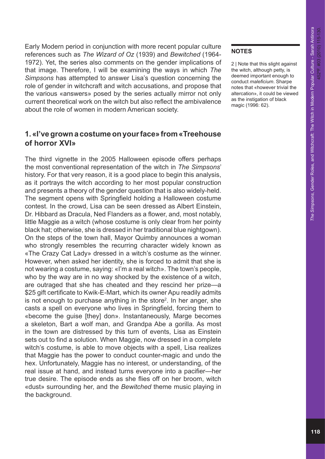Early Modern period in conjunction with more recent popular culture references such as *The Wizard of Oz* (1939) and *Bewitched* (1964- 1972). Yet, the series also comments on the gender implications of that image. Therefore, I will be examining the ways in which *The Simpsons* has attempted to answer Lisa's question concerning the role of gender in witchcraft and witch accusations, and propose that the various «answers» posed by the series actually mirror not only current theoretical work on the witch but also reflect the ambivalence about the role of women in modern American society.

# **1. «I've grown a costume on your face» from «Treehouse of horror XVI»**

The third vignette in the 2005 Halloween episode offers perhaps the most conventional representation of the witch in *The Simpsons*' history. For that very reason, it is a good place to begin this analysis, as it portrays the witch according to her most popular construction and presents a theory of the gender question that is also widely-held. The segment opens with Springfield holding a Halloween costume contest. In the crowd, Lisa can be seen dressed as Albert Einstein, Dr. Hibbard as Dracula, Ned Flanders as a flower, and, most notably, little Maggie as a witch (whose costume is only clear from her pointy black hat; otherwise, she is dressed in her traditional blue nightgown). On the steps of the town hall, Mayor Quimby announces a woman who strongly resembles the recurring character widely known as «The Crazy Cat Lady» dressed in a witch's costume as the winner. However, when asked her identity, she is forced to admit that she is not wearing a costume, saying: «I'm a real witch». The town's people, who by the way are in no way shocked by the existence of a witch, are outraged that she has cheated and they rescind her prize—a \$25 gift certificate to Kwik-E-Mart, which its owner Apu readily admits is not enough to purchase anything in the store<sup>2</sup>. In her anger, she casts a spell on everyone who lives in Springfield, forcing them to «become the guise [they] don». Instantaneously, Marge becomes a skeleton, Bart a wolf man, and Grandpa Abe a gorilla. As most in the town are distressed by this turn of events, Lisa as Einstein sets out to find a solution. When Maggie, now dressed in a complete witch's costume, is able to move objects with a spell, Lisa realizes that Maggie has the power to conduct counter-magic and undo the hex. Unfortunately, Maggie has no interest, or understanding, of the real issue at hand, and instead turns everyone into a pacifier—her true desire. The episode ends as she flies off on her broom, witch «dust» surrounding her, and the *Bewitched* theme music playing in the background.

#### **NOTES**

2 | Note that this slight against the witch, although petty, is deemed important enough to conduct *maleficium*. Sharpe notes that «however trivial the altercation», it could be viewed as the instigation of black magic (1996: 62).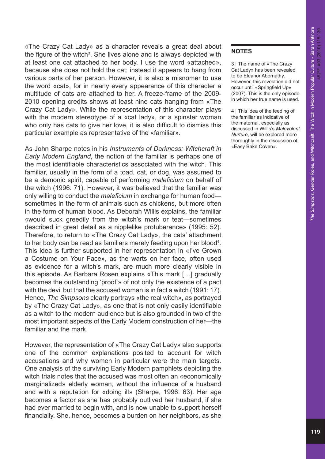«The Crazy Cat Lady» as a character reveals a great deal about the figure of the witch<sup>3</sup>. She lives alone and is always depicted with at least one cat attached to her body. I use the word «attached», because she does not hold the cat; instead it appears to hang from various parts of her person. However, it is also a misnomer to use the word «cat», for in nearly every appearance of this character a multitude of cats are attached to her. A freeze-frame of the 2009- 2010 opening credits shows at least nine cats hanging from «The Crazy Cat Lady». While the representation of this character plays with the modern stereotype of a «cat lady», or a spinster woman who only has cats to give her love, it is also difficult to dismiss this particular example as representative of the «familiar».

As John Sharpe notes in his *Instruments of Darkness: Witchcraft in Early Modern England*, the notion of the familiar is perhaps one of the most identifiable characteristics associated with the witch. This familiar, usually in the form of a toad, cat, or dog, was assumed to be a demonic spirit, capable of performing *maleficium* on behalf of the witch (1996: 71). However, it was believed that the familiar was only willing to conduct the *maleficium* in exchange for human food sometimes in the form of animals such as chickens, but more often in the form of human blood. As Deborah Willis explains, the familiar «would suck greedily from the witch's mark or teat—sometimes described in great detail as a nipplelike protuberance» (1995: 52). Therefore, to return to «The Crazy Cat Lady», the cats' attachment to her body can be read as familiars merely feeding upon her blood<sup>4</sup>. This idea is further supported in her representation in «I've Grown a Costume on Your Face», as the warts on her face, often used as evidence for a witch's mark, are much more clearly visible in this episode. As Barbara Rosen explains «This mark […] gradually becomes the outstanding 'proof'» of not only the existence of a pact with the devil but that the accused woman is in fact a witch (1991: 17). Hence, *The Simpsons* clearly portrays «the real witch», as portrayed by «The Crazy Cat Lady», as one that is not only easily identifiable as a witch to the modern audience but is also grounded in two of the most important aspects of the Early Modern construction of her—the familiar and the mark.

However, the representation of «The Crazy Cat Lady» also supports one of the common explanations posited to account for witch accusations and why women in particular were the main targets. One analysis of the surviving Early Modern pamphlets depicting the witch trials notes that the accused was most often an «economically marginalized» elderly woman, without the influence of a husband and with a reputation for «doing ill» (Sharpe, 1996: 63). Her age becomes a factor as she has probably outlived her husband, if she had ever married to begin with, and is now unable to support herself financially. She, hence, becomes a burden on her neighbors, as she

#### **NOTES**

3 | The name of «The Crazy Cat Lady» has been revealed to be Eleanor Abernathy. However, this revelation did not occur until «Springfield Up» (2007). This is the only episode in which her true name is used.

4 | This idea of the feeding of the familiar as indicative of the maternal, especially as discussed in Willis's *Malevolent Nurture*, will be explored more thoroughly in the discussion of «Easy Bake Coven».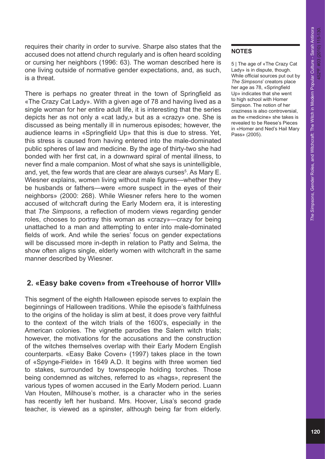requires their charity in order to survive. Sharpe also states that the accused does not attend church regularly and is often heard scolding or cursing her neighbors (1996: 63). The woman described here is one living outside of normative gender expectations, and, as such, is a threat.

There is perhaps no greater threat in the town of Springfield as «The Crazy Cat Lady». With a given age of 78 and having lived as a single woman for her entire adult life, it is interesting that the series depicts her as not only a «cat lady,» but as a «crazy» one. She is discussed as being mentally ill in numerous episodes; however, the audience learns in «Springfield Up» that this is due to stress. Yet, this stress is caused from having entered into the male-dominated public spheres of law and medicine. By the age of thirty-two she had bonded with her first cat, in a downward spiral of mental illness, to never find a male companion. Most of what she says is unintelligible, and, yet, the few words that are clear are always curses<sup>5</sup>. As Mary E. Wiesner explains, women living without male figures—whether they be husbands or fathers—were «more suspect in the eyes of their neighbors» (2000: 268). While Wiesner refers here to the women accused of witchcraft during the Early Modern era, it is interesting that *The Simpsons*, a reflection of modern views regarding gender roles, chooses to portray this woman as «crazy»—crazy for being unattached to a man and attempting to enter into male-dominated fields of work. And while the series' focus on gender expectations will be discussed more in-depth in relation to Patty and Selma, the show often aligns single, elderly women with witchcraft in the same manner described by Wiesner.

## **2. «Easy bake coven» from «Treehouse of horror VIII»**

This segment of the eighth Halloween episode serves to explain the beginnings of Halloween traditions. While the episode's faithfulness to the origins of the holiday is slim at best, it does prove very faithful to the context of the witch trials of the 1600's, especially in the American colonies. The vignette parodies the Salem witch trials; however, the motivations for the accusations and the construction of the witches themselves overlap with their Early Modern English counterparts. «Easy Bake Coven» (1997) takes place in the town of «Spynge-Fielde» in 1649 A.D. It begins with three women tied to stakes, surrounded by townspeople holding torches. Those being condemned as witches, referred to as «hags», represent the various types of women accused in the Early Modern period. Luann Van Houten, Milhouse's mother, is a character who in the series has recently left her husband. Mrs. Hoover, Lisa's second grade teacher, is viewed as a spinster, although being far from elderly.

#### **NOTES**

5 | The age of «The Crazy Cat Lady» is in dispute, though. While official sources put out by *The Simpsons*' creators place her age as 78, «Springfield Up» indicates that she went to high school with Homer Simpson. The notion of her craziness is also controversial, as the «medicine» she takes is revealed to be Reese's Pieces in «Homer and Ned's Hail Mary Pass» (2005).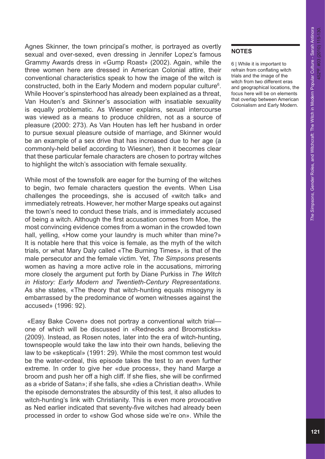Agnes Skinner, the town principal's mother, is portrayed as overtly sexual and over-sexed, even dressing in Jennifer Lopez's famous Grammy Awards dress in «Gump Roast» (2002). Again, while the three women here are dressed in American Colonial attire, their conventional characteristics speak to how the image of the witch is constructed, both in the Early Modern and modern popular culture6 . While Hoover's spinsterhood has already been explained as a threat, Van Houten's and Skinner's association with insatiable sexuality is equally problematic. As Wiesner explains, sexual intercourse was viewed as a means to produce children, not as a source of pleasure (2000: 273). As Van Houten has left her husband in order to pursue sexual pleasure outside of marriage, and Skinner would be an example of a sex drive that has increased due to her age (a commonly-held belief according to Wiesner), then it becomes clear that these particular female characters are chosen to portray witches to highlight the witch's association with female sexuality.

While most of the townsfolk are eager for the burning of the witches to begin, two female characters question the events. When Lisa challenges the proceedings, she is accused of «witch talk» and immediately retreats. However, her mother Marge speaks out against the town's need to conduct these trials, and is immediately accused of being a witch. Although the first accusation comes from Moe, the most convincing evidence comes from a woman in the crowded town hall, yelling, «How come your laundry is much whiter than mine?» It is notable here that this voice is female, as the myth of the witch trials, or what Mary Daly called «The Burning Times», is that of the male persecutor and the female victim. Yet, *The Simpsons* presents women as having a more active role in the accusations, mirroring more closely the argument put forth by Diane Purkiss in *The Witch in History: Early Modern and Twentieth-Century Representations*. As she states, «The theory that witch-hunting equals misogyny is embarrassed by the predominance of women witnesses against the accused» (1996: 92).

 «Easy Bake Coven» does not portray a conventional witch trial one of which will be discussed in «Rednecks and Broomsticks» (2009). Instead, as Rosen notes, later into the era of witch-hunting, townspeople would take the law into their own hands, believing the law to be «skeptical» (1991: 29). While the most common test would be the water-ordeal, this episode takes the test to an even further extreme. In order to give her «due process», they hand Marge a broom and push her off a high cliff. If she flies, she will be confirmed as a «bride of Satan»; if she falls, she «dies a Christian death». While the episode demonstrates the absurdity of this test, it also alludes to witch-hunting's link with Christianity. This is even more provocative as Ned earlier indicated that seventy-five witches had already been processed in order to «show God whose side we're on». While the

#### **NOTES**

6 | While it is important to refrain from conflating witch trials and the image of the witch from two different eras and geographical locations, the focus here will be on elements that overlap between American Colonialism and Early Modern.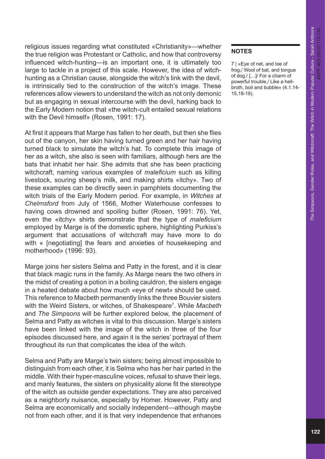religious issues regarding what constituted «Christianity»—whether the true religion was Protestant or Catholic, and how that controversy influenced witch-hunting—is an important one, it is ultimately too large to tackle in a project of this scale. However, the idea of witchhunting as a Christian cause, alongside the witch's link with the devil, is intrinsically tied to the construction of the witch's image. These references allow viewers to understand the witch as not only demonic but as engaging in sexual intercourse with the devil, harking back to the Early Modern notion that «the witch-cult entailed sexual relations with the Devil himself» (Rosen, 1991: 17).

At first it appears that Marge has fallen to her death, but then she flies out of the canyon, her skin having turned green and her hair having turned black to simulate the witch's hat. To complete this image of her as a witch, she also is seen with familiars, although hers are the bats that inhabit her hair. She admits that she has been practicing witchcraft, naming various examples of *maleficium* such as killing livestock, souring sheep's milk, and making shirts «itchy». Two of these examples can be directly seen in pamphlets documenting the witch trials of the Early Modern period. For example, in *Witches at Chelmsford* from July of 1566, Mother Waterhouse confesses to having cows drowned and spoiling butter (Rosen, 1991: 76). Yet, even the «itchy» shirts demonstrate that the type of *maleficium* employed by Marge is of the domestic sphere, highlighting Purkiss's argument that accusations of witchcraft may have more to do with « [negotiating] the fears and anxieties of housekeeping and motherhood» (1996: 93).

Marge joins her sisters Selma and Patty in the forest, and it is clear that black magic runs in the family. As Marge nears the two others in the midst of creating a potion in a boiling cauldron, the sisters engage in a heated debate about how much «eye of newt» should be used. This reference to Macbeth permanently links the three Bouvier sisters with the Weird Sisters, or witches, of Shakespeare<sup>7</sup>. While *Macbeth* and *The Simpsons* will be further explored below, the placement of Selma and Patty as witches is vital to this discussion. Marge's sisters have been linked with the image of the witch in three of the four episodes discussed here, and again it is the series' portrayal of them throughout its run that complicates the idea of the witch.

Selma and Patty are Marge's twin sisters; being almost impossible to distinguish from each other, it is Selma who has her hair parted in the middle. With their hyper-masculine voices, refusal to shave their legs, and manly features, the sisters on physicality alone fit the stereotype of the witch as outside gender expectations. They are also perceived as a neighborly nuisance, especially by Homer. However, Patty and Selma are economically and socially independent—although maybe not from each other, and it is that very independence that enhances

#### **NOTES**

7 | «Eye of net, and toe of frog,/ Wool of bat, and tongue of dog./ […]/ For a charm of powerful trouble,/ Like a hellbroth, boil and bubble» (4.1.14- 15,18-19).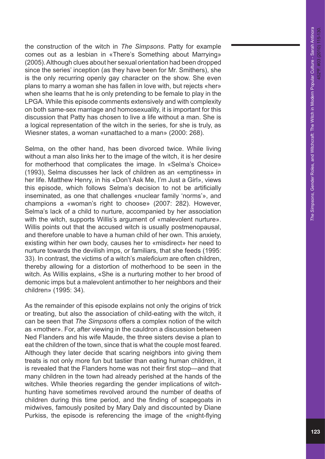the construction of the witch in *The Simpsons*. Patty for example comes out as a lesbian in «There's Something about Marrying» (2005). Although clues about her sexual orientation had been dropped since the series' inception (as they have been for Mr. Smithers), she is the only recurring openly gay character on the show. She even plans to marry a woman she has fallen in love with, but rejects «her» when she learns that he is only pretending to be female to play in the LPGA. While this episode comments extensively and with complexity on both same-sex marriage and homosexuality, it is important for this discussion that Patty has chosen to live a life without a man. She is a logical representation of the witch in the series, for she is truly, as Wiesner states, a woman «unattached to a man» (2000: 268).

Selma, on the other hand, has been divorced twice. While living without a man also links her to the image of the witch, it is her desire for motherhood that complicates the image. In «Selma's Choice» (1993), Selma discusses her lack of children as an «emptiness» in her life. Matthew Henry, in his «Don't Ask Me, I'm Just a Girl», views this episode, which follows Selma's decision to not be artificially inseminated, as one that challenges «nuclear family 'norms'», and champions a «woman's right to choose» (2007: 282). However, Selma's lack of a child to nurture, accompanied by her association with the witch, supports Willis's argument of «malevolent nurture». Willis points out that the accused witch is usually postmenopausal, and therefore unable to have a human child of her own. This anxiety, existing within her own body, causes her to «misdirect» her need to nurture towards the devilish imps, or familiars, that she feeds (1995: 33). In contrast, the victims of a witch's *maleficium* are often children, thereby allowing for a distortion of motherhood to be seen in the witch. As Willis explains, «She is a nurturing mother to her brood of demonic imps but a malevolent antimother to her neighbors and their children» (1995: 34).

As the remainder of this episode explains not only the origins of trick or treating, but also the association of child-eating with the witch, it can be seen that *The Simpsons* offers a complex notion of the witch as «mother». For, after viewing in the cauldron a discussion between Ned Flanders and his wife Maude, the three sisters devise a plan to eat the children of the town, since that is what the couple most feared. Although they later decide that scaring neighbors into giving them treats is not only more fun but tastier than eating human children, it is revealed that the Flanders home was not their first stop—and that many children in the town had already perished at the hands of the witches. While theories regarding the gender implications of witchhunting have sometimes revolved around the number of deaths of children during this time period, and the finding of scapegoats in midwives, famously posited by Mary Daly and discounted by Diane Purkiss, the episode is referencing the image of the «night-flying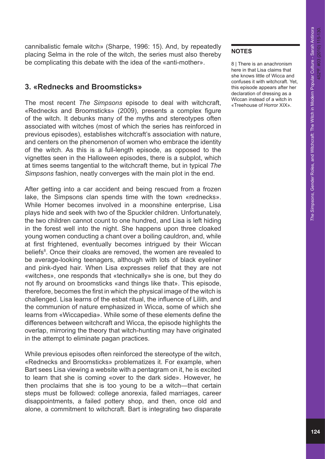cannibalistic female witch» (Sharpe, 1996: 15). And, by repeatedly placing Selma in the role of the witch, the series must also thereby be complicating this debate with the idea of the «anti-mother».

## **3. «Rednecks and Broomsticks»**

The most recent *The Simpsons* episode to deal with witchcraft, «Rednecks and Broomsticks» (2009), presents a complex figure of the witch. It debunks many of the myths and stereotypes often associated with witches (most of which the series has reinforced in previous episodes), establishes witchcraft's association with nature, and centers on the phenomenon of women who embrace the identity of the witch. As this is a full-length episode, as opposed to the vignettes seen in the Halloween episodes, there is a subplot, which at times seems tangential to the witchcraft theme, but in typical *The Simpsons* fashion, neatly converges with the main plot in the end.

After getting into a car accident and being rescued from a frozen lake, the Simpsons clan spends time with the town «rednecks». While Homer becomes involved in a moonshine enterprise, Lisa plays hide and seek with two of the Spuckler children. Unfortunately, the two children cannot count to one hundred, and Lisa is left hiding in the forest well into the night. She happens upon three cloaked young women conducting a chant over a boiling cauldron, and, while at first frightened, eventually becomes intrigued by their Wiccan beliefs<sup>8</sup>. Once their cloaks are removed, the women are revealed to be average-looking teenagers, although with lots of black eyeliner and pink-dyed hair. When Lisa expresses relief that they are not «witches», one responds that «technically» she is one, but they do not fly around on broomsticks «and things like that». This episode, therefore, becomes the first in which the physical image of the witch is challenged. Lisa learns of the esbat ritual, the influence of Lilith, and the communion of nature emphasized in Wicca, some of which she learns from «Wiccapedia». While some of these elements define the differences between witchcraft and Wicca, the episode highlights the overlap, mirroring the theory that witch-hunting may have originated in the attempt to eliminate pagan practices.

While previous episodes often reinforced the stereotype of the witch, «Rednecks and Broomsticks» problematizes it. For example, when Bart sees Lisa viewing a website with a pentagram on it, he is excited to learn that she is coming «over to the dark side». However, he then proclaims that she is too young to be a witch—that certain steps must be followed: college anorexia, failed marriages, career disappointments, a failed pottery shop, and then, once old and alone, a commitment to witchcraft. Bart is integrating two disparate

#### **NOTES**

8 | There is an anachronism here in that Lisa claims that she knows little of Wicca and confuses it with witchcraft. Yet, this episode appears after her declaration of dressing as a Wiccan instead of a witch in «Treehouse of Horror XIX».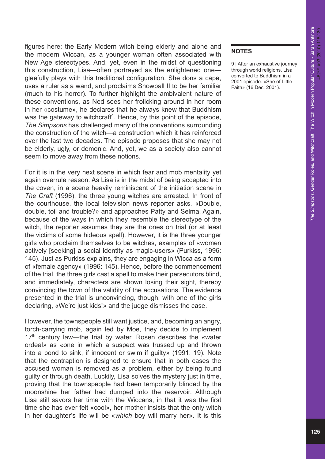figures here: the Early Modern witch being elderly and alone and the modern Wiccan, as a younger woman often associated with New Age stereotypes. And, yet, even in the midst of questioning this construction, Lisa—often portrayed as the enlightened one gleefully plays with this traditional configuration. She dons a cape, uses a ruler as a wand, and proclaims Snowball II to be her familiar (much to his horror). To further highlight the ambivalent nature of these conventions, as Ned sees her frolicking around in her room in her «costume», he declares that he always knew that Buddhism was the gateway to witchcraft<sup>9</sup>. Hence, by this point of the episode, *The Simpsons* has challenged many of the conventions surrounding the construction of the witch—a construction which it has reinforced over the last two decades. The episode proposes that she may not be elderly, ugly, or demonic. And, yet, we as a society also cannot seem to move away from these notions.

For it is in the very next scene in which fear and mob mentality yet again overrule reason. As Lisa is in the midst of being accepted into the coven, in a scene heavily reminiscent of the initiation scene in *The Craft* (1996), the three young witches are arrested. In front of the courthouse, the local television news reporter asks, «Double, double, toil and trouble?» and approaches Patty and Selma. Again, because of the ways in which they resemble the stereotype of the witch, the reporter assumes they are the ones on trial (or at least the victims of some hideous spell). However, it is the three younger girls who proclaim themselves to be witches, examples of «women actively [seeking] a social identity as magic-users» (Purkiss, 1996: 145). Just as Purkiss explains, they are engaging in Wicca as a form of «female agency» (1996: 145). Hence, before the commencement of the trial, the three girls cast a spell to make their persecutors blind, and immediately, characters are shown losing their sight, thereby convincing the town of the validity of the accusations. The evidence presented in the trial is unconvincing, though, with one of the girls declaring, «We're just kids!» and the judge dismisses the case.

However, the townspeople still want justice, and, becoming an angry, torch-carrying mob, again led by Moe, they decide to implement  $17<sup>th</sup>$  century law—the trial by water. Rosen describes the «water ordeal» as «one in which a suspect was trussed up and thrown into a pond to sink, if innocent or swim if guilty» (1991: 19). Note that the contraption is designed to ensure that in both cases the accused woman is removed as a problem, either by being found guilty or through death. Luckily, Lisa solves the mystery just in time, proving that the townspeople had been temporarily blinded by the moonshine her father had dumped into the reservoir. Although Lisa still savors her time with the Wiccans, in that it was the first time she has ever felt «cool», her mother insists that the only witch in her daughter's life will be «*which* boy will marry her». It is this

#### **NOTES**

9 | After an exhaustive journey through world religions, Lisa converted to Buddhism in a 2001 episode. «She of Little Faith» (16 Dec. 2001).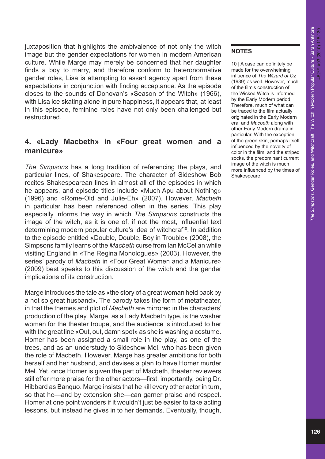juxtaposition that highlights the ambivalence of not only the witch image but the gender expectations for women in modern American culture. While Marge may merely be concerned that her daughter finds a boy to marry, and therefore conform to heteronormative gender roles, Lisa is attempting to assert agency apart from these expectations in conjunction with finding acceptance. As the episode closes to the sounds of Donovan's «Season of the Witch» (1966), with Lisa ice skating alone in pure happiness, it appears that, at least in this episode, feminine roles have not only been challenged but restructured.

## **4. «Lady Macbeth» in «Four great women and a manicure»**

*The Simpsons* has a long tradition of referencing the plays, and particular lines, of Shakespeare. The character of Sideshow Bob recites Shakespearean lines in almost all of the episodes in which he appears, and episode titles include «Much Apu about Nothing» (1996) and «Rome-Old and Julie-Eh» (2007). However, *Macbeth* in particular has been referenced often in the series. This play especially informs the way in which *The Simpsons* constructs the image of the witch, as it is one of, if not the most, influential text determining modern popular culture's idea of witchcraf<sup>10</sup>. In addition to the episode entitled «Double, Double, Boy in Trouble» (2008), the Simpsons family learns of the *Macbeth* curse from Ian McCellan while visiting England in «The Regina Monologues» (2003). However, the series' parody of *Macbeth* in «Four Great Women and a Manicure» (2009) best speaks to this discussion of the witch and the gender implications of its construction.

Marge introduces the tale as «the story of a great woman held back by a not so great husband». The parody takes the form of metatheater, in that the themes and plot of *Macbeth* are mirrored in the characters' production of the play. Marge, as a Lady Macbeth type, is the washer woman for the theater troupe, and the audience is introduced to her with the great line «Out, out, damn spot» as she is washing a costume. Homer has been assigned a small role in the play, as one of the trees, and as an understudy to Sideshow Mel, who has been given the role of Macbeth. However, Marge has greater ambitions for both herself and her husband, and devises a plan to have Homer murder Mel. Yet, once Homer is given the part of Macbeth, theater reviewers still offer more praise for the other actors—first, importantly, being Dr. Hibbard as Banquo. Marge insists that he kill every other actor in turn, so that he—and by extension she—can garner praise and respect. Homer at one point wonders if it wouldn't just be easier to take acting lessons, but instead he gives in to her demands. Eventually, though,

## **NOTES**

10 | A case can definitely be made for the overwhelming influence of *The Wizard of Oz* (1939) as well. However, much of the film's construction of the Wicked Witch is informed by the Early Modern period. Therefore, much of what can be traced to the film actually originated in the Early Modern era, and *Macbeth* along with other Early Modern drama in particular. With the exception of the green skin, perhaps itself influenced by the novelty of color in the film, and the striped socks, the predominant current image of the witch is much more influenced by the times of Shakespeare.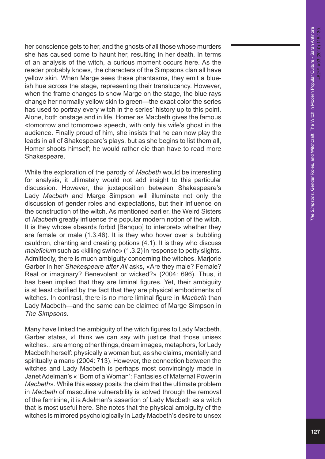her conscience gets to her, and the ghosts of all those whose murders she has caused come to haunt her, resulting in her death. In terms of an analysis of the witch, a curious moment occurs here. As the reader probably knows, the characters of the Simpsons clan all have yellow skin. When Marge sees these phantasms, they emit a blueish hue across the stage, representing their translucency. However, when the frame changes to show Marge on the stage, the blue rays change her normally yellow skin to green—the exact color the series has used to portray every witch in the series' history up to this point. Alone, both onstage and in life, Homer as Macbeth gives the famous «tomorrow and tomorrow» speech, with only his wife's ghost in the audience. Finally proud of him, she insists that he can now play the leads in all of Shakespeare's plays, but as she begins to list them all, Homer shoots himself; he would rather die than have to read more Shakespeare.

While the exploration of the parody of *Macbeth* would be interesting for analysis, it ultimately would not add insight to this particular discussion. However, the juxtaposition between Shakespeare's Lady *Macbeth* and Marge Simpson will illuminate not only the discussion of gender roles and expectations, but their influence on the construction of the witch. As mentioned earlier, the Weird Sisters of *Macbeth* greatly influence the popular modern notion of the witch. It is they whose «beards forbid [Banquo] to interpret» whether they are female or male (1.3.46). It is they who hover over a bubbling cauldron, chanting and creating potions (4.1). It is they who discuss *maleficium* such as «killing swine» (1.3.2) in response to petty slights. Admittedly, there is much ambiguity concerning the witches. Marjorie Garber in her *Shakespeare after All* asks, «Are they male? Female? Real or imaginary? Benevolent or wicked?» (2004: 696). Thus, it has been implied that they are liminal figures. Yet, their ambiguity is at least clarified by the fact that they are physical embodiments of witches. In contrast, there is no more liminal figure in *Macbeth* than Lady Macbeth—and the same can be claimed of Marge Simpson in *The Simpsons*.

Many have linked the ambiguity of the witch figures to Lady Macbeth. Garber states, «I think we can say with justice that those unisex witches…are among other things, dream images, metaphors, for Lady Macbeth herself: physically a woman but, as she claims, mentally and spiritually a man» (2004: 713). However, the connection between the witches and Lady Macbeth is perhaps most convincingly made in Janet Adelman's « 'Born of a Woman': Fantasies of Maternal Power in *Macbeth*». While this essay posits the claim that the ultimate problem in *Macbeth* of masculine vulnerability is solved through the removal of the feminine, it is Adelman's assertion of Lady Macbeth as a witch that is most useful here. She notes that the physical ambiguity of the witches is mirrored psychologically in Lady Macbeth's desire to unsex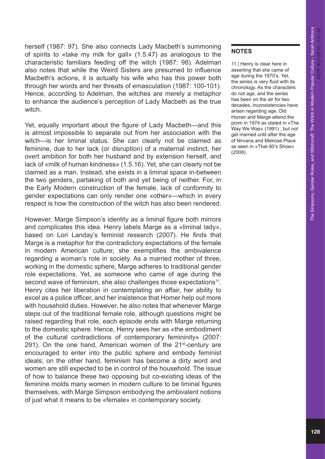herself (1987: 97). She also connects Lady Macbeth's summoning of spirits to «take my milk for gall» (1.5.47) as analogous to the characteristic familiars feeding off the witch (1987: 98). Adelman also notes that while the Weird Sisters are presumed to influence Macbeth's actions, it is actually his wife who has this power both through her words and her threats of emasculation (1987: 100-101). Hence, according to Adelman, the witches are merely a metaphor to enhance the audience's perception of Lady Macbeth as the true witch.

Yet, equally important about the figure of Lady Macbeth—and this is almost impossible to separate out from her association with the witch—is her liminal status. She can clearly not be claimed as feminine, due to her lack (or disruption) of a maternal instinct, her overt ambition for both her husband and by extension herself, and lack of «milk of human kindness» (1.5.16). Yet, she can clearly not be claimed as a man. Instead, she exists in a liminal space in-between the two genders, partaking of both and yet being of neither. For, in the Early Modern construction of the female, lack of conformity to gender expectations can only render one «other»—which in every respect is how the construction of the witch has also been rendered.

However, Marge Simpson's identity as a liminal figure both mirrors and complicates this idea. Henry labels Marge as a «liminal lady», based on Lori Landay's feminist research (2007). He finds that Marge is a metaphor for the contradictory expectations of the female in modern American culture; she exemplifies the ambivalence regarding a woman's role in society. As a married mother of three, working in the domestic sphere, Marge adheres to traditional gender role expectations. Yet, as someone who came of age during the second wave of feminism, she also challenges those expectations<sup>11</sup>. Henry cites her liberation in contemplating an affair, her ability to excel as a police officer, and her insistence that Homer help out more with household duties. However, he also notes that whenever Marge steps out of the traditional female role, although questions might be raised regarding that role, each episode ends with Marge returning to the domestic sphere. Hence, Henry sees her as «the embodiment of the cultural contradictions of contemporary femininity» (2007: 291). On the one hand, American women of the 21<sup>st-</sup>century are encouraged to enter into the public sphere and embody feminist ideals; on the other hand, feminism has become a dirty word and women are still expected to be in control of the household. The issue of how to balance these two opposing but co-existing ideas of the feminine molds many women in modern culture to be liminal figures themselves, with Marge Simpson embodying the ambivalent notions of just what it means to be «female» in contemporary society.

#### **NOTES**

11 | Henry is clear here in asserting that she came of age during the 1970's. Yet, the series is very fluid with its chronology. As the characters do not age, and the series has been on the air for two decades, inconsistencies have arisen regarding age. Did Homer and Marge attend the prom in 1974 as stated in «The Way We Was» (1991) , but not get married until after the age of Nirvana and Melrose Place as seen in «That 90's Show» (2008).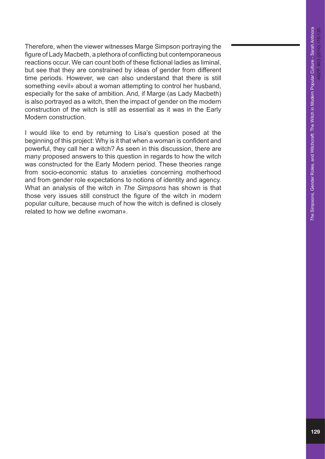Therefore, when the viewer witnesses Marge Simpson portraying the figure of Lady Macbeth, a plethora of conflicting but contemporaneous reactions occur. We can count both of these fictional ladies as liminal, but see that they are constrained by ideas of gender from different time periods. However, we can also understand that there is still something «evil» about a woman attempting to control her husband, especially for the sake of ambition. And, if Marge (as Lady Macbeth) is also portrayed as a witch, then the impact of gender on the modern construction of the witch is still as essential as it was in the Early Modern construction.

I would like to end by returning to Lisa's question posed at the beginning of this project: Why is it that when a woman is confident and powerful, they call her a witch? As seen in this discussion, there are many proposed answers to this question in regards to how the witch was constructed for the Early Modern period. These theories range from socio-economic status to anxieties concerning motherhood and from gender role expectations to notions of identity and agency. What an analysis of the witch in *The Simpsons* has shown is that those very issues still construct the figure of the witch in modern popular culture, because much of how the witch is defined is closely related to how we define «woman».